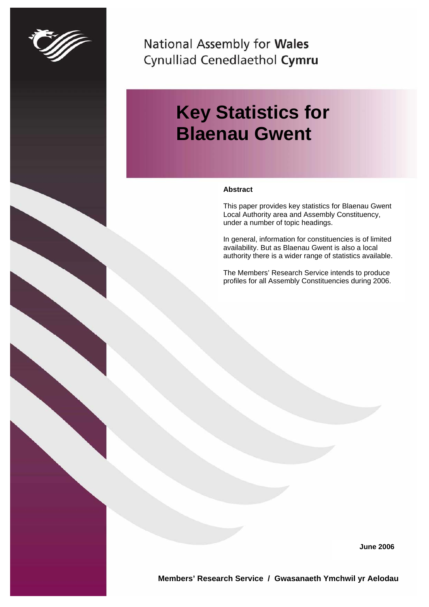

National Assembly for Wales Cynulliad Cenedlaethol Cymru

# **Key Statistics for Blaenau Gwent**

#### **Abstract**

This paper provides key statistics for Blaenau Gwent Local Authority area and Assembly Constituency, under a number of topic headings.

In general, information for constituencies is of limited availability. But as Blaenau Gwent is also a local authority there is a wider range of statistics available.

The Members' Research Service intends to produce profiles for all Assembly Constituencies during 2006.

**June 2006**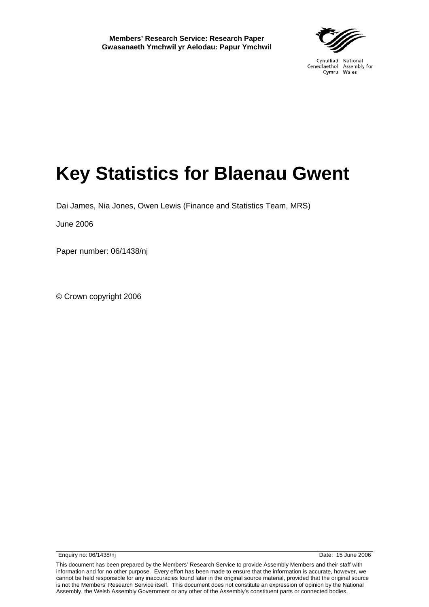# **Key Statistics for Blaenau Gwent**

Dai James, Nia Jones, Owen Lewis (Finance and Statistics Team, MRS)

June 2006

Paper number: 06/1438/nj

© Crown copyright 2006

Enquiry no: 06/1438/nj Date: 15 June 2006

This document has been prepared by the Members' Research Service to provide Assembly Members and their staff with information and for no other purpose. Every effort has been made to ensure that the information is accurate, however, we cannot be held responsible for any inaccuracies found later in the original source material, provided that the original source is not the Members' Research Service itself. This document does not constitute an expression of opinion by the National Assembly, the Welsh Assembly Government or any other of the Assembly's constituent parts or connected bodies.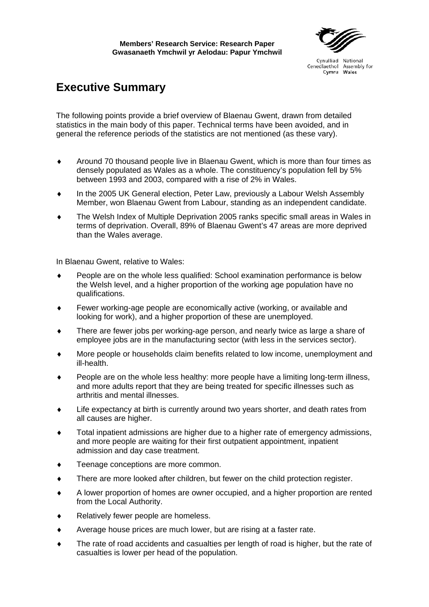## **Executive Summary**

The following points provide a brief overview of Blaenau Gwent, drawn from detailed statistics in the main body of this paper. Technical terms have been avoided, and in general the reference periods of the statistics are not mentioned (as these vary).

- ♦ Around 70 thousand people live in Blaenau Gwent, which is more than four times as densely populated as Wales as a whole. The constituency's population fell by 5% between 1993 and 2003, compared with a rise of 2% in Wales.
- ♦ In the 2005 UK General election, Peter Law, previously a Labour Welsh Assembly Member, won Blaenau Gwent from Labour, standing as an independent candidate.
- The Welsh Index of Multiple Deprivation 2005 ranks specific small areas in Wales in terms of deprivation. Overall, 89% of Blaenau Gwent's 47 areas are more deprived than the Wales average.

In Blaenau Gwent, relative to Wales:

- ♦ People are on the whole less qualified: School examination performance is below the Welsh level, and a higher proportion of the working age population have no qualifications.
- ♦ Fewer working-age people are economically active (working, or available and looking for work), and a higher proportion of these are unemployed.
- ♦ There are fewer jobs per working-age person, and nearly twice as large a share of employee jobs are in the manufacturing sector (with less in the services sector).
- More people or households claim benefits related to low income, unemployment and ill-health.
- People are on the whole less healthy: more people have a limiting long-term illness, and more adults report that they are being treated for specific illnesses such as arthritis and mental illnesses.
- ♦ Life expectancy at birth is currently around two years shorter, and death rates from all causes are higher.
- ♦ Total inpatient admissions are higher due to a higher rate of emergency admissions, and more people are waiting for their first outpatient appointment, inpatient admission and day case treatment.
- ♦ Teenage conceptions are more common.
- There are more looked after children, but fewer on the child protection register.
- ♦ A lower proportion of homes are owner occupied, and a higher proportion are rented from the Local Authority.
- Relatively fewer people are homeless.
- ♦ Average house prices are much lower, but are rising at a faster rate.
- The rate of road accidents and casualties per length of road is higher, but the rate of casualties is lower per head of the population.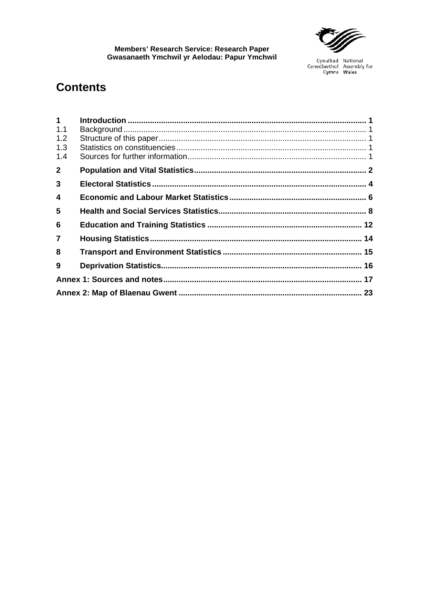

## **Contents**

| $1 \quad$      |  |
|----------------|--|
| 1.1            |  |
| 1.2            |  |
| 1.3            |  |
| 1.4            |  |
| 2 <sup>1</sup> |  |
| $\mathbf{3}$   |  |
| 4              |  |
| 5              |  |
| 6              |  |
| $\overline{7}$ |  |
| 8              |  |
| 9              |  |
|                |  |
|                |  |
|                |  |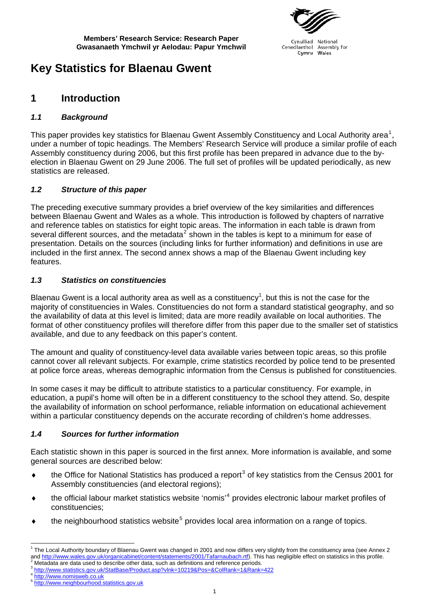

Cynulliad National Cenedlaethol Assembly for Wales Cymru

## <span id="page-8-0"></span>**Key Statistics for Blaenau Gwent**

### **1 Introduction**

### *1.1 Background*

This paper provides key statistics for Blaenau Gwent Assembly Constituency and Local Authority area<sup>[1](#page-8-1)</sup>, under a number of topic headings. The Members' Research Service will produce a similar profile of each Assembly constituency during 2006, but this first profile has been prepared in advance due to the byelection in Blaenau Gwent on 29 June 2006. The full set of profiles will be updated periodically, as new statistics are released.

### *1.2 Structure of this paper*

The preceding executive summary provides a brief overview of the key similarities and differences between Blaenau Gwent and Wales as a whole. This introduction is followed by chapters of narrative and reference tables on statistics for eight topic areas. The information in each table is drawn from several different sources, and the metadata<sup>[2](#page-8-2)</sup> shown in the tables is kept to a minimum for ease of presentation. Details on the sources (including links for further information) and definitions in use are included in the first annex. The second annex shows a map of the Blaenau Gwent including key features.

### *1.3 Statistics on constituencies*

Blaenau Gwent is a local authority area as well as a constituency<sup>1</sup>, but this is not the case for the majority of constituencies in Wales. Constituencies do not form a standard statistical geography, and so the availability of data at this level is limited; data are more readily available on local authorities. The format of other constituency profiles will therefore differ from this paper due to the smaller set of statistics available, and due to any feedback on this paper's content.

The amount and quality of constituency-level data available varies between topic areas, so this profile cannot cover all relevant subjects. For example, crime statistics recorded by police tend to be presented at police force areas, whereas demographic information from the Census is published for constituencies.

In some cases it may be difficult to attribute statistics to a particular constituency. For example, in education, a pupil's home will often be in a different constituency to the school they attend. So, despite the availability of information on school performance, reliable information on educational achievement within a particular constituency depends on the accurate recording of children's home addresses.

### *1.4 Sources for further information*

Each statistic shown in this paper is sourced in the first annex. More information is available, and some general sources are described below:

- $\bullet$  the Office for National Statistics has produced a report<sup>[3](#page-8-3)</sup> of key statistics from the Census 2001 for Assembly constituencies (and electoral regions);
- ♦ the official labour market statistics website 'nomis'[4](#page-8-4) provides electronic labour market profiles of constituencies;
- $\bullet$  the neighbourhood statistics website<sup>[5](#page-8-5)</sup> provides local area information on a range of topics.

<span id="page-8-1"></span> 1 The Local Authority boundary of Blaenau Gwent was changed in 2001 and now differs very slightly from the constituency area (see Annex 2 and<http://www.wales.gov.uk/organicabinet/content/statements/2001/Tafarnaubach.rtf>). This has negligible effect on statistics in this profile.<br><sup>2</sup> Metadata are data used to describe other data, such as definitions and refe

<span id="page-8-3"></span><span id="page-8-2"></span> $\frac{3}{10}$ <http://www.statistics.gov.uk/StatBase/Product.asp?vlnk=10219&Pos=&ColRank=1&Rank=422><br>4 [http://www.nomisweb.co.uk](http://www.nomisweb.co.uk/)

<span id="page-8-5"></span><span id="page-8-4"></span><sup>5</sup> [http://www.neighbourhood.statistics.gov.uk](http://www.neighbourhood.statistics.gov.uk/)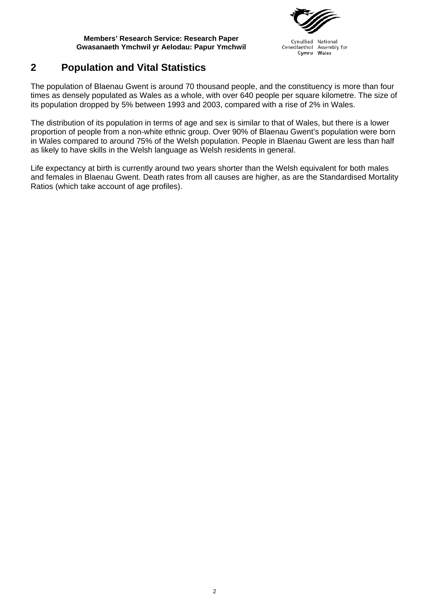

Cynulliad National Cenedlaethol Assembly for Cymru Wales

## <span id="page-9-0"></span>**2 Population and Vital Statistics**

The population of Blaenau Gwent is around 70 thousand people, and the constituency is more than four times as densely populated as Wales as a whole, with over 640 people per square kilometre. The size of its population dropped by 5% between 1993 and 2003, compared with a rise of 2% in Wales.

The distribution of its population in terms of age and sex is similar to that of Wales, but there is a lower proportion of people from a non-white ethnic group. Over 90% of Blaenau Gwent's population were born in Wales compared to around 75% of the Welsh population. People in Blaenau Gwent are less than half as likely to have skills in the Welsh language as Welsh residents in general.

Life expectancy at birth is currently around two years shorter than the Welsh equivalent for both males and females in Blaenau Gwent. Death rates from all causes are higher, as are the Standardised Mortality Ratios (which take account of age profiles).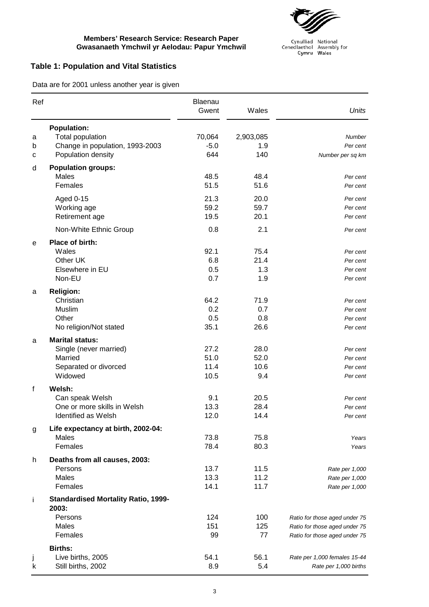

Cynulliad National<br>Cenedlaethol Assembly for<br>Cymru Wales

### **Table 1: Population and Vital Statistics**

Data are for 2001 unless another year is given

| Ref         |                                                                                                        | Blaenau<br>Gwent             | Wales                       | <b>Units</b>                                                                                    |
|-------------|--------------------------------------------------------------------------------------------------------|------------------------------|-----------------------------|-------------------------------------------------------------------------------------------------|
| a<br>b<br>С | <b>Population:</b><br><b>Total population</b><br>Change in population, 1993-2003<br>Population density | 70,064<br>$-5.0$<br>644      | 2,903,085<br>1.9<br>140     | <b>Number</b><br>Per cent<br>Number per sq km                                                   |
| d           | <b>Population groups:</b>                                                                              |                              |                             |                                                                                                 |
|             | Males<br>Females                                                                                       | 48.5<br>51.5                 | 48.4<br>51.6                | Per cent<br>Per cent                                                                            |
|             | Aged 0-15<br>Working age<br>Retirement age                                                             | 21.3<br>59.2<br>19.5         | 20.0<br>59.7<br>20.1        | Per cent<br>Per cent<br>Per cent                                                                |
|             | Non-White Ethnic Group                                                                                 | 0.8                          | 2.1                         | Per cent                                                                                        |
| е           | Place of birth:<br>Wales<br>Other UK<br>Elsewhere in EU<br>Non-EU                                      | 92.1<br>6.8<br>0.5<br>0.7    | 75.4<br>21.4<br>1.3<br>1.9  | Per cent<br>Per cent<br>Per cent<br>Per cent                                                    |
| a           | <b>Religion:</b><br>Christian<br>Muslim<br>Other<br>No religion/Not stated                             | 64.2<br>0.2<br>0.5<br>35.1   | 71.9<br>0.7<br>0.8<br>26.6  | Per cent<br>Per cent<br>Per cent<br>Per cent                                                    |
| a           | <b>Marital status:</b><br>Single (never married)<br>Married<br>Separated or divorced<br>Widowed        | 27.2<br>51.0<br>11.4<br>10.5 | 28.0<br>52.0<br>10.6<br>9.4 | Per cent<br>Per cent<br>Per cent<br>Per cent                                                    |
| f           | Welsh:<br>Can speak Welsh<br>One or more skills in Welsh<br>Identified as Welsh                        | 9.1<br>13.3<br>12.0          | 20.5<br>28.4<br>14.4        | Per cent<br>Per cent<br>Per cent                                                                |
| g           | Life expectancy at birth, 2002-04:<br>Males<br>Females                                                 | 73.8<br>78.4                 | 75.8<br>80.3                | Years<br>Years                                                                                  |
| h           | Deaths from all causes, 2003:<br>Persons<br><b>Males</b><br>Females                                    | 13.7<br>13.3<br>14.1         | 11.5<br>11.2<br>11.7        | Rate per 1,000<br>Rate per 1,000<br>Rate per 1,000                                              |
| Ť           | <b>Standardised Mortality Ratio, 1999-</b><br>2003:<br>Persons<br>Males<br>Females                     | 124<br>151<br>99             | 100<br>125<br>77            | Ratio for those aged under 75<br>Ratio for those aged under 75<br>Ratio for those aged under 75 |
| J<br>k      | <b>Births:</b><br>Live births, 2005<br>Still births, 2002                                              | 54.1<br>8.9                  | 56.1<br>5.4                 | Rate per 1,000 females 15-44<br>Rate per 1,000 births                                           |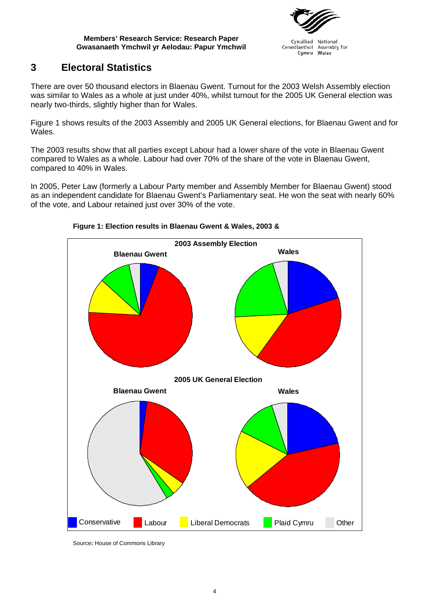

#### Cynulliad National Cenedlaethol Assembly for Wales Cymru

## <span id="page-11-0"></span>**3 Electoral Statistics**

There are over 50 thousand electors in Blaenau Gwent. Turnout for the 2003 Welsh Assembly election was similar to Wales as a whole at just under 40%, whilst turnout for the 2005 UK General election was nearly two-thirds, slightly higher than for Wales.

Figure 1 shows results of the 2003 Assembly and 2005 UK General elections, for Blaenau Gwent and for Wales.

The 2003 results show that all parties except Labour had a lower share of the vote in Blaenau Gwent compared to Wales as a whole. Labour had over 70% of the share of the vote in Blaenau Gwent, compared to 40% in Wales.

In 2005, Peter Law (formerly a Labour Party member and Assembly Member for Blaenau Gwent) stood as an independent candidate for Blaenau Gwent's Parliamentary seat. He won the seat with nearly 60% of the vote, and Labour retained just over 30% of the vote.



### **Figure 1: Election results in Blaenau Gwent & Wales, 2003 &**

Source**:** House of Commons Library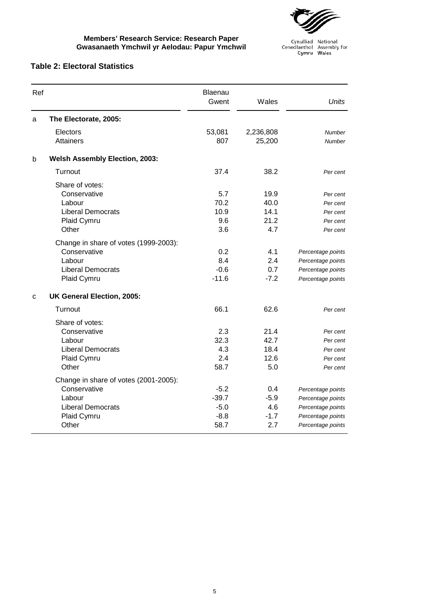

Cynulliad National<br>Cenedlaethol Assembly for<br>Cymru Wales

### **Table 2: Electoral Statistics**

| Ref |                                       | Blaenau<br>Gwent | Wales     | <b>Units</b>      |
|-----|---------------------------------------|------------------|-----------|-------------------|
| a   | The Electorate, 2005:                 |                  |           |                   |
|     | Electors                              | 53,081           | 2,236,808 | <b>Number</b>     |
|     | <b>Attainers</b>                      | 807              | 25,200    | <b>Number</b>     |
| b   | <b>Welsh Assembly Election, 2003:</b> |                  |           |                   |
|     | Turnout                               | 37.4             | 38.2      | Per cent          |
|     | Share of votes:                       |                  |           |                   |
|     | Conservative                          | 5.7              | 19.9      | Per cent          |
|     | Labour                                | 70.2             | 40.0      | Per cent          |
|     | <b>Liberal Democrats</b>              | 10.9             | 14.1      | Per cent          |
|     | Plaid Cymru                           | 9.6              | 21.2      | Per cent          |
|     | Other                                 | 3.6              | 4.7       | Per cent          |
|     | Change in share of votes (1999-2003): |                  |           |                   |
|     | Conservative                          | 0.2              | 4.1       | Percentage points |
|     | Labour                                | 8.4              | 2.4       | Percentage points |
|     | <b>Liberal Democrats</b>              | $-0.6$           | 0.7       | Percentage points |
|     | Plaid Cymru                           | $-11.6$          | $-7.2$    | Percentage points |
| C   | <b>UK General Election, 2005:</b>     |                  |           |                   |
|     | Turnout                               | 66.1             | 62.6      | Per cent          |
|     | Share of votes:                       |                  |           |                   |
|     | Conservative                          | 2.3              | 21.4      | Per cent          |
|     | Labour                                | 32.3             | 42.7      | Per cent          |
|     | <b>Liberal Democrats</b>              | 4.3              | 18.4      | Per cent          |
|     | Plaid Cymru                           | 2.4              | 12.6      | Per cent          |
|     | Other                                 | 58.7             | 5.0       | Per cent          |
|     | Change in share of votes (2001-2005): |                  |           |                   |
|     | Conservative                          | $-5.2$           | 0.4       | Percentage points |
|     | Labour                                | $-39.7$          | $-5.9$    | Percentage points |
|     | <b>Liberal Democrats</b>              | $-5.0$           | 4.6       | Percentage points |
|     | Plaid Cymru                           | $-8.8$           | $-1.7$    | Percentage points |
|     | Other                                 | 58.7             | 2.7       | Percentage points |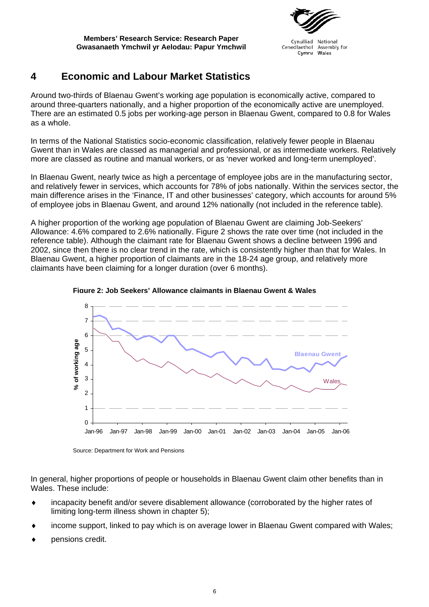

Cynulliad National Cenedlaethol Assembly for Cymru Wales

## <span id="page-13-0"></span>**4 Economic and Labour Market Statistics**

Around two-thirds of Blaenau Gwent's working age population is economically active, compared to around three-quarters nationally, and a higher proportion of the economically active are unemployed. There are an estimated 0.5 jobs per working-age person in Blaenau Gwent, compared to 0.8 for Wales as a whole.

In terms of the National Statistics socio-economic classification, relatively fewer people in Blaenau Gwent than in Wales are classed as managerial and professional, or as intermediate workers. Relatively more are classed as routine and manual workers, or as 'never worked and long-term unemployed'.

In Blaenau Gwent, nearly twice as high a percentage of employee jobs are in the manufacturing sector, and relatively fewer in services, which accounts for 78% of jobs nationally. Within the services sector, the main difference arises in the 'Finance, IT and other businesses' category, which accounts for around 5% of employee jobs in Blaenau Gwent, and around 12% nationally (not included in the reference table).

A higher proportion of the working age population of Blaenau Gwent are claiming Job-Seekers' Allowance: 4.6% compared to 2.6% nationally. Figure 2 shows the rate over time (not included in the reference table). Although the claimant rate for Blaenau Gwent shows a decline between 1996 and 2002, since then there is no clear trend in the rate, which is consistently higher than that for Wales. In Blaenau Gwent, a higher proportion of claimants are in the 18-24 age group, and relatively more claimants have been claiming for a longer duration (over 6 months).





In general, higher proportions of people or households in Blaenau Gwent claim other benefits than in Wales. These include:

- ♦ incapacity benefit and/or severe disablement allowance (corroborated by the higher rates of limiting long-term illness shown in chapter 5);
- income support, linked to pay which is on average lower in Blaenau Gwent compared with Wales;
- pensions credit.

Source: Department for Work and Pensions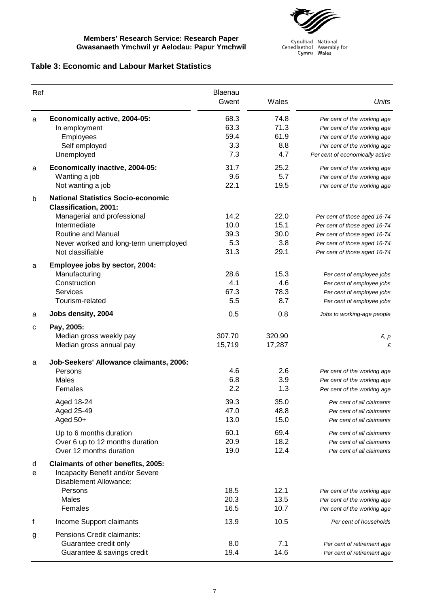

Cynulliad National<br>Cenedlaethol Assembly for<br>Cymru Wales

### **Table 3: Economic and Labour Market Statistics**

| Ref    |                                                                                                                                                                                                                    | <b>Blaenau</b><br>Gwent                   | Wales                                     | Units                                                                                                                                                                            |
|--------|--------------------------------------------------------------------------------------------------------------------------------------------------------------------------------------------------------------------|-------------------------------------------|-------------------------------------------|----------------------------------------------------------------------------------------------------------------------------------------------------------------------------------|
| a      | Economically active, 2004-05:<br>In employment<br>Employees<br>Self employed<br>Unemployed                                                                                                                         | 68.3<br>63.3<br>59.4<br>3.3<br>7.3        | 74.8<br>71.3<br>61.9<br>8.8<br>4.7        | Per cent of the working age<br>Per cent of the working age<br>Per cent of the working age<br>Per cent of the working age<br>Per cent of economically active                      |
| a      | Economically inactive, 2004-05:<br>Wanting a job<br>Not wanting a job                                                                                                                                              | 31.7<br>9.6<br>22.1                       | 25.2<br>5.7<br>19.5                       | Per cent of the working age<br>Per cent of the working age<br>Per cent of the working age                                                                                        |
| b      | <b>National Statistics Socio-economic</b><br><b>Classification, 2001:</b><br>Managerial and professional<br>Intermediate<br><b>Routine and Manual</b><br>Never worked and long-term unemployed<br>Not classifiable | 14.2<br>10.0<br>39.3<br>5.3<br>31.3       | 22.0<br>15.1<br>30.0<br>3.8<br>29.1       | Per cent of those aged 16-74<br>Per cent of those aged 16-74<br>Per cent of those aged 16-74<br>Per cent of those aged 16-74<br>Per cent of those aged 16-74                     |
| a      | Employee jobs by sector, 2004:<br>Manufacturing<br>Construction<br><b>Services</b><br>Tourism-related                                                                                                              | 28.6<br>4.1<br>67.3<br>5.5                | 15.3<br>4.6<br>78.3<br>8.7                | Per cent of employee jobs<br>Per cent of employee jobs<br>Per cent of employee jobs<br>Per cent of employee jobs                                                                 |
| a      | Jobs density, 2004                                                                                                                                                                                                 | 0.5                                       | 0.8                                       | Jobs to working-age people                                                                                                                                                       |
| с      | Pay, 2005:<br>Median gross weekly pay<br>Median gross annual pay                                                                                                                                                   | 307.70<br>15,719                          | 320.90<br>17,287                          | E, p<br>£                                                                                                                                                                        |
| a      | Job-Seekers' Allowance claimants, 2006:<br>Persons<br><b>Males</b><br>Females<br>Aged 18-24<br>Aged 25-49<br>Aged 50+                                                                                              | 4.6<br>6.8<br>2.2<br>39.3<br>47.0<br>13.0 | 2.6<br>3.9<br>1.3<br>35.0<br>48.8<br>15.0 | Per cent of the working age<br>Per cent of the working age<br>Per cent of the working age<br>Per cent of all claimants<br>Per cent of all claimants<br>Per cent of all claimants |
|        | Up to 6 months duration<br>Over 6 up to 12 months duration<br>Over 12 months duration                                                                                                                              | 60.1<br>20.9<br>19.0                      | 69.4<br>18.2<br>12.4                      | Per cent of all claimants<br>Per cent of all claimants<br>Per cent of all claimants                                                                                              |
| d<br>е | <b>Claimants of other benefits, 2005:</b><br>Incapacity Benefit and/or Severe<br>Disablement Allowance:<br>Persons<br><b>Males</b><br>Females                                                                      | 18.5<br>20.3<br>16.5                      | 12.1<br>13.5<br>10.7                      | Per cent of the working age<br>Per cent of the working age<br>Per cent of the working age                                                                                        |
| f      | Income Support claimants                                                                                                                                                                                           | 13.9                                      | 10.5                                      | Per cent of households                                                                                                                                                           |
| g      | Pensions Credit claimants:<br>Guarantee credit only<br>Guarantee & savings credit                                                                                                                                  | 8.0<br>19.4                               | 7.1<br>14.6                               | Per cent of retirement age<br>Per cent of retirement age                                                                                                                         |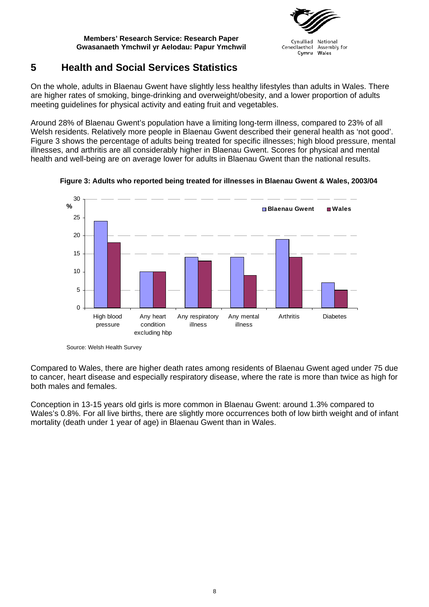

Cynulliad National Cenedlaethol Assembly for Wales Cymru

## <span id="page-15-0"></span>**5 Health and Social Services Statistics**

On the whole, adults in Blaenau Gwent have slightly less healthy lifestyles than adults in Wales. There are higher rates of smoking, binge-drinking and overweight/obesity, and a lower proportion of adults meeting guidelines for physical activity and eating fruit and vegetables.

Around 28% of Blaenau Gwent's population have a limiting long-term illness, compared to 23% of all Welsh residents. Relatively more people in Blaenau Gwent described their general health as 'not good'. Figure 3 shows the percentage of adults being treated for specific illnesses; high blood pressure, mental illnesses, and arthritis are all considerably higher in Blaenau Gwent. Scores for physical and mental health and well-being are on average lower for adults in Blaenau Gwent than the national results.



**Figure 3: Adults who reported being treated for illnesses in Blaenau Gwent & Wales, 2003/04**

Compared to Wales, there are higher death rates among residents of Blaenau Gwent aged under 75 due to cancer, heart disease and especially respiratory disease, where the rate is more than twice as high for both males and females.

Conception in 13-15 years old girls is more common in Blaenau Gwent: around 1.3% compared to Wales's 0.8%. For all live births, there are slightly more occurrences both of low birth weight and of infant mortality (death under 1 year of age) in Blaenau Gwent than in Wales.

Source: Welsh Health Survey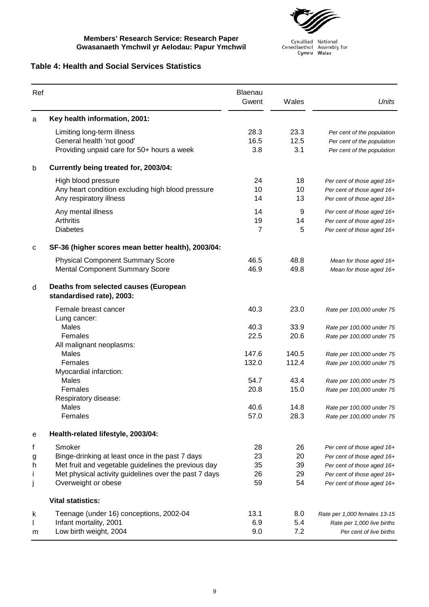

Cynulliad National<br>Cenedlaethol Assembly for<br>Cymru Wales

### **Table 4: Health and Social Services Statistics**

| Ref          |                                                                                                       | Blaenau<br>Gwent    | Wales               | <b>Units</b>                                                                           |
|--------------|-------------------------------------------------------------------------------------------------------|---------------------|---------------------|----------------------------------------------------------------------------------------|
| a            | Key health information, 2001:                                                                         |                     |                     |                                                                                        |
|              | Limiting long-term illness<br>General health 'not good'<br>Providing unpaid care for 50+ hours a week | 28.3<br>16.5<br>3.8 | 23.3<br>12.5<br>3.1 | Per cent of the population<br>Per cent of the population<br>Per cent of the population |
| b            | Currently being treated for, 2003/04:                                                                 |                     |                     |                                                                                        |
|              | High blood pressure<br>Any heart condition excluding high blood pressure<br>Any respiratory illness   | 24<br>10<br>14      | 18<br>10<br>13      | Per cent of those aged 16+<br>Per cent of those aged 16+<br>Per cent of those aged 16+ |
|              | Any mental illness<br>Arthritis<br><b>Diabetes</b>                                                    | 14<br>19<br>7       | 9<br>14<br>5        | Per cent of those aged 16+<br>Per cent of those aged 16+<br>Per cent of those aged 16+ |
| С            | SF-36 (higher scores mean better health), 2003/04:                                                    |                     |                     |                                                                                        |
|              | <b>Physical Component Summary Score</b><br><b>Mental Component Summary Score</b>                      | 46.5<br>46.9        | 48.8<br>49.8        | Mean for those aged 16+<br>Mean for those aged 16+                                     |
| d            | Deaths from selected causes (European<br>standardised rate), 2003:                                    |                     |                     |                                                                                        |
|              | Female breast cancer<br>Lung cancer:                                                                  | 40.3                | 23.0                | Rate per 100,000 under 75                                                              |
|              | Males                                                                                                 | 40.3                | 33.9                | Rate per 100,000 under 75                                                              |
|              | Females                                                                                               | 22.5                | 20.6                | Rate per 100,000 under 75                                                              |
|              | All malignant neoplasms:                                                                              |                     |                     |                                                                                        |
|              | <b>Males</b><br>Females                                                                               | 147.6<br>132.0      | 140.5<br>112.4      | Rate per 100,000 under 75<br>Rate per 100,000 under 75                                 |
|              | Myocardial infarction:                                                                                |                     |                     |                                                                                        |
|              | Males                                                                                                 | 54.7                | 43.4                | Rate per 100,000 under 75                                                              |
|              | Females<br>Respiratory disease:                                                                       | 20.8                | 15.0                | Rate per 100,000 under 75                                                              |
|              | Males                                                                                                 | 40.6                | 14.8                | Rate per 100,000 under 75                                                              |
|              | Females                                                                                               | 57.0                | 28.3                | Rate per 100,000 under 75                                                              |
| е            | Health-related lifestyle, 2003/04:                                                                    |                     |                     |                                                                                        |
| f            | Smoker                                                                                                | 28                  | 26                  | Per cent of those aged 16+                                                             |
| g            | Binge-drinking at least once in the past 7 days                                                       | 23                  | 20                  | Per cent of those aged 16+                                                             |
| h            | Met fruit and vegetable guidelines the previous day                                                   | 35                  | 39                  | Per cent of those aged 16+                                                             |
| $\mathbf{I}$ | Met physical activity guidelines over the past 7 days                                                 | 26                  | 29                  | Per cent of those aged 16+                                                             |
| j            | Overweight or obese                                                                                   | 59                  | 54                  | Per cent of those aged 16+                                                             |
|              | <b>Vital statistics:</b>                                                                              |                     |                     |                                                                                        |
| k            | Teenage (under 16) conceptions, 2002-04                                                               | 13.1                | 8.0                 | Rate per 1,000 females 13-15                                                           |
| I            | Infant mortality, 2001                                                                                | 6.9                 | 5.4                 | Rate per 1,000 live births                                                             |
| m            | Low birth weight, 2004                                                                                | 9.0                 | 7.2                 | Per cent of live births                                                                |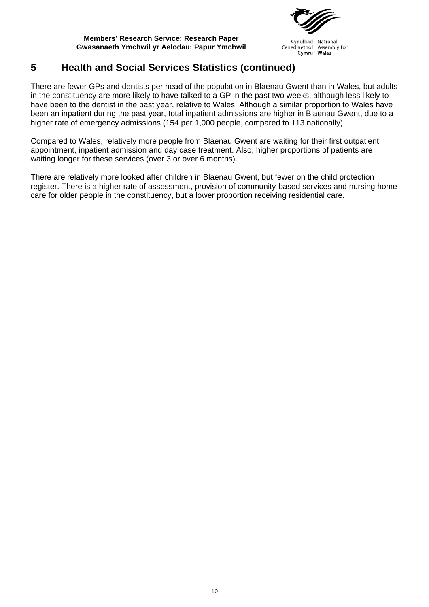

Cynulliad National Cenedlaethol Assembly for Cymru Wales

## **5 Health and Social Services Statistics (continued)**

There are fewer GPs and dentists per head of the population in Blaenau Gwent than in Wales, but adults in the constituency are more likely to have talked to a GP in the past two weeks, although less likely to have been to the dentist in the past year, relative to Wales. Although a similar proportion to Wales have been an inpatient during the past year, total inpatient admissions are higher in Blaenau Gwent, due to a higher rate of emergency admissions (154 per 1,000 people, compared to 113 nationally).

Compared to Wales, relatively more people from Blaenau Gwent are waiting for their first outpatient appointment, inpatient admission and day case treatment. Also, higher proportions of patients are waiting longer for these services (over 3 or over 6 months).

There are relatively more looked after children in Blaenau Gwent, but fewer on the child protection register. There is a higher rate of assessment, provision of community-based services and nursing home care for older people in the constituency, but a lower proportion receiving residential care.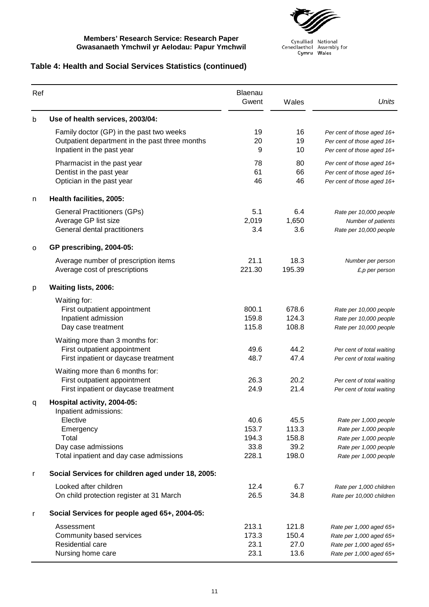

Cynulliad National<br>Cenedlaethol Assembly for<br>Cymru Wales

### **Table 4: Health and Social Services Statistics (continued)**

| Ref |                                                                                                                           | Blaenau<br>Gwent                        | Wales                                   | <b>Units</b>                                                                                                              |
|-----|---------------------------------------------------------------------------------------------------------------------------|-----------------------------------------|-----------------------------------------|---------------------------------------------------------------------------------------------------------------------------|
| b   | Use of health services, 2003/04:                                                                                          |                                         |                                         |                                                                                                                           |
|     | Family doctor (GP) in the past two weeks<br>Outpatient department in the past three months<br>Inpatient in the past year  | 19<br>20<br>9                           | 16<br>19<br>10                          | Per cent of those aged 16+<br>Per cent of those aged 16+<br>Per cent of those aged 16+                                    |
|     | Pharmacist in the past year<br>Dentist in the past year<br>Optician in the past year                                      | 78<br>61<br>46                          | 80<br>66<br>46                          | Per cent of those aged 16+<br>Per cent of those aged 16+<br>Per cent of those aged 16+                                    |
| n   | Health facilities, 2005:                                                                                                  |                                         |                                         |                                                                                                                           |
|     | <b>General Practitioners (GPs)</b><br>Average GP list size<br>General dental practitioners                                | 5.1<br>2,019<br>3.4                     | 6.4<br>1,650<br>3.6                     | Rate per 10,000 people<br>Number of patients<br>Rate per 10,000 people                                                    |
| o   | GP prescribing, 2004-05:                                                                                                  |                                         |                                         |                                                                                                                           |
|     | Average number of prescription items<br>Average cost of prescriptions                                                     | 21.1<br>221.30                          | 18.3<br>195.39                          | Number per person<br>$E$ , p per person                                                                                   |
| р   | Waiting lists, 2006:                                                                                                      |                                         |                                         |                                                                                                                           |
|     | Waiting for:<br>First outpatient appointment<br>Inpatient admission<br>Day case treatment                                 | 800.1<br>159.8<br>115.8                 | 678.6<br>124.3<br>108.8                 | Rate per 10,000 people<br>Rate per 10,000 people<br>Rate per 10,000 people                                                |
|     | Waiting more than 3 months for:<br>First outpatient appointment<br>First inpatient or daycase treatment                   | 49.6<br>48.7                            | 44.2<br>47.4                            | Per cent of total waiting<br>Per cent of total waiting                                                                    |
|     | Waiting more than 6 months for:<br>First outpatient appointment<br>First inpatient or daycase treatment                   | 26.3<br>24.9                            | 20.2<br>21.4                            | Per cent of total waiting<br>Per cent of total waiting                                                                    |
| q   | Hospital activity, 2004-05:                                                                                               |                                         |                                         |                                                                                                                           |
|     | Inpatient admissions:<br>Elective<br>Emergency<br>Total<br>Day case admissions<br>Total inpatient and day case admissions | 40.6<br>153.7<br>194.3<br>33.8<br>228.1 | 45.5<br>113.3<br>158.8<br>39.2<br>198.0 | Rate per 1,000 people<br>Rate per 1,000 people<br>Rate per 1,000 people<br>Rate per 1,000 people<br>Rate per 1,000 people |
| r   | Social Services for children aged under 18, 2005:                                                                         |                                         |                                         |                                                                                                                           |
|     | Looked after children<br>On child protection register at 31 March                                                         | 12.4<br>26.5                            | 6.7<br>34.8                             | Rate per 1,000 children<br>Rate per 10,000 children                                                                       |
| r   | Social Services for people aged 65+, 2004-05:                                                                             |                                         |                                         |                                                                                                                           |
|     | Assessment<br>Community based services<br>Residential care<br>Nursing home care                                           | 213.1<br>173.3<br>23.1<br>23.1          | 121.8<br>150.4<br>27.0<br>13.6          | Rate per 1,000 aged 65+<br>Rate per 1,000 aged 65+<br>Rate per 1,000 aged 65+<br>Rate per 1,000 aged 65+                  |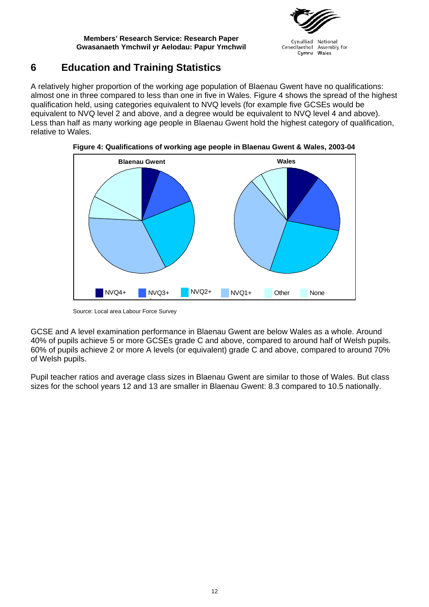

Cynulliad National Cenedlaethol Assembly for Wales Cymru

## <span id="page-19-0"></span>**6 Education and Training Statistics**

A relatively higher proportion of the working age population of Blaenau Gwent have no qualifications: almost one in three compared to less than one in five in Wales. Figure 4 shows the spread of the highest qualification held, using categories equivalent to NVQ levels (for example five GCSEs would be equivalent to NVQ level 2 and above, and a degree would be equivalent to NVQ level 4 and above). Less than half as many working age people in Blaenau Gwent hold the highest category of qualification, relative to Wales.



**Figure 4: Qualifications of working age people in Blaenau Gwent & Wales, 2003-04**

Source: Local area Labour Force Survey

GCSE and A level examination performance in Blaenau Gwent are below Wales as a whole. Around 40% of pupils achieve 5 or more GCSEs grade C and above, compared to around half of Welsh pupils. 60% of pupils achieve 2 or more A levels (or equivalent) grade C and above, compared to around 70% of Welsh pupils.

Pupil teacher ratios and average class sizes in Blaenau Gwent are similar to those of Wales. But class sizes for the school years 12 and 13 are smaller in Blaenau Gwent: 8.3 compared to 10.5 nationally.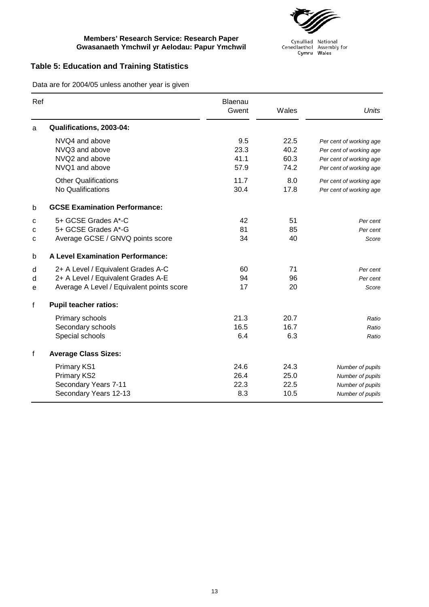

Cynulliad National<br>Cenedlaethol Assembly for<br>Cymru Wales

### **Table 5: Education and Training Statistics**

Data are for 2004/05 unless another year is given

| Ref |                                           | Blaenau<br>Gwent | Wales | <b>Units</b>            |
|-----|-------------------------------------------|------------------|-------|-------------------------|
| a   | Qualifications, 2003-04:                  |                  |       |                         |
|     | NVQ4 and above                            | 9.5              | 22.5  | Per cent of working age |
|     | NVQ3 and above                            | 23.3             | 40.2  | Per cent of working age |
|     | NVQ2 and above                            | 41.1             | 60.3  | Per cent of working age |
|     | NVQ1 and above                            | 57.9             | 74.2  | Per cent of working age |
|     | <b>Other Qualifications</b>               | 11.7             | 8.0   | Per cent of working age |
|     | No Qualifications                         | 30.4             | 17.8  | Per cent of working age |
| b   | <b>GCSE Examination Performance:</b>      |                  |       |                         |
| C   | 5+ GCSE Grades A*-C                       | 42               | 51    | Per cent                |
| C   | 5+ GCSE Grades A*-G                       | 81               | 85    | Per cent                |
| с   | Average GCSE / GNVQ points score          | 34               | 40    | Score                   |
| b   | <b>A Level Examination Performance:</b>   |                  |       |                         |
| d   | 2+ A Level / Equivalent Grades A-C        | 60               | 71    | Per cent                |
| d   | 2+ A Level / Equivalent Grades A-E        | 94               | 96    | Per cent                |
| е   | Average A Level / Equivalent points score | 17               | 20    | Score                   |
| f   | <b>Pupil teacher ratios:</b>              |                  |       |                         |
|     | Primary schools                           | 21.3             | 20.7  | Ratio                   |
|     | Secondary schools                         | 16.5             | 16.7  | Ratio                   |
|     | Special schools                           | 6.4              | 6.3   | Ratio                   |
| f   | <b>Average Class Sizes:</b>               |                  |       |                         |
|     | <b>Primary KS1</b>                        | 24.6             | 24.3  | Number of pupils        |
|     | Primary KS2                               | 26.4             | 25.0  | Number of pupils        |
|     | Secondary Years 7-11                      | 22.3             | 22.5  | Number of pupils        |
|     | Secondary Years 12-13                     | 8.3              | 10.5  | Number of pupils        |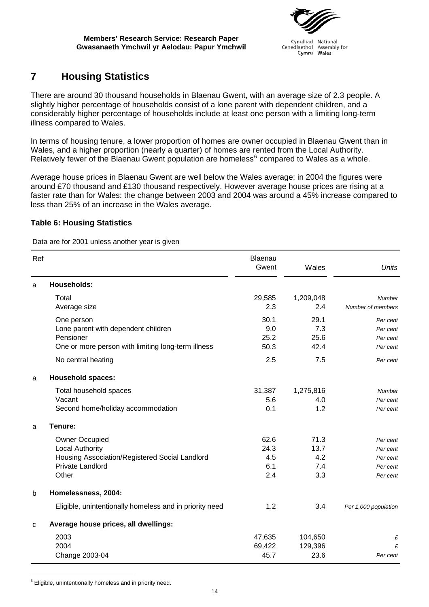

Cynulliad National Cenedlaethol Assembly for Cymru Wales

## <span id="page-21-0"></span>**7 Housing Statistics**

There are around 30 thousand households in Blaenau Gwent, with an average size of 2.3 people. A slightly higher percentage of households consist of a lone parent with dependent children, and a considerably higher percentage of households include at least one person with a limiting long-term illness compared to Wales.

In terms of housing tenure, a lower proportion of homes are owner occupied in Blaenau Gwent than in Wales, and a higher proportion (nearly a quarter) of homes are rented from the Local Authority. Relatively fewer of the Blaenau Gwent population are homeless<sup>[6](#page-21-1)</sup> compared to Wales as a whole.

Average house prices in Blaenau Gwent are well below the Wales average; in 2004 the figures were around £70 thousand and £130 thousand respectively. However average house prices are rising at a faster rate than for Wales: the change between 2003 and 2004 was around a 45% increase compared to less than 25% of an increase in the Wales average.

### **Table 6: Housing Statistics**

Data are for 2001 unless another year is given

| Ref         |                                                                                                                                | Blaenau<br>Gwent                  | Wales                             | Units                                                    |
|-------------|--------------------------------------------------------------------------------------------------------------------------------|-----------------------------------|-----------------------------------|----------------------------------------------------------|
| a           | <b>Households:</b>                                                                                                             |                                   |                                   |                                                          |
|             | Total<br>Average size                                                                                                          | 29,585<br>2.3                     | 1,209,048<br>2.4                  | Number<br>Number of members                              |
|             | One person<br>Lone parent with dependent children<br>Pensioner<br>One or more person with limiting long-term illness           | 30.1<br>9.0<br>25.2<br>50.3       | 29.1<br>7.3<br>25.6<br>42.4       | Per cent<br>Per cent<br>Per cent<br>Per cent             |
|             | No central heating                                                                                                             | 2.5                               | 7.5                               | Per cent                                                 |
| a           | <b>Household spaces:</b>                                                                                                       |                                   |                                   |                                                          |
|             | Total household spaces<br>Vacant<br>Second home/holiday accommodation                                                          | 31,387<br>5.6<br>0.1              | 1,275,816<br>4.0<br>1.2           | Number<br>Per cent<br>Per cent                           |
| a           | Tenure:                                                                                                                        |                                   |                                   |                                                          |
|             | <b>Owner Occupied</b><br><b>Local Authority</b><br>Housing Association/Registered Social Landlord<br>Private Landlord<br>Other | 62.6<br>24.3<br>4.5<br>6.1<br>2.4 | 71.3<br>13.7<br>4.2<br>7.4<br>3.3 | Per cent<br>Per cent<br>Per cent<br>Per cent<br>Per cent |
| $\mathsf b$ | Homelessness, 2004:                                                                                                            |                                   |                                   |                                                          |
|             | Eligible, unintentionally homeless and in priority need                                                                        | 1.2                               | 3.4                               | Per 1,000 population                                     |
| C           | Average house prices, all dwellings:                                                                                           |                                   |                                   |                                                          |
|             | 2003<br>2004<br>Change 2003-04                                                                                                 | 47,635<br>69,422<br>45.7          | 104,650<br>129,396<br>23.6        | £<br>£<br>Per cent                                       |

<span id="page-21-1"></span> $\overline{a}$ <sup>6</sup> Eligible, unintentionally homeless and in priority need.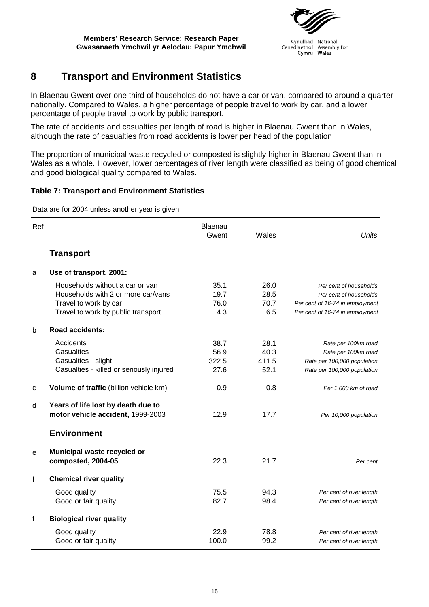

Cynulliad National Cynamia National<br>Cenedlaethol Assembly for<br>Cymru Wales

## <span id="page-22-0"></span>**8 Transport and Environment Statistics**

In Blaenau Gwent over one third of households do not have a car or van, compared to around a quarter nationally. Compared to Wales, a higher percentage of people travel to work by car, and a lower percentage of people travel to work by public transport.

The rate of accidents and casualties per length of road is higher in Blaenau Gwent than in Wales, although the rate of casualties from road accidents is lower per head of the population.

The proportion of municipal waste recycled or composted is slightly higher in Blaenau Gwent than in Wales as a whole. However, lower percentages of river length were classified as being of good chemical and good biological quality compared to Wales.

### **Table 7: Transport and Environment Statistics**

Data are for 2004 unless another year is given

| Ref |                                                                                                                                      | Blaenau<br>Gwent              | Wales                         | <b>Units</b>                                                                                                           |
|-----|--------------------------------------------------------------------------------------------------------------------------------------|-------------------------------|-------------------------------|------------------------------------------------------------------------------------------------------------------------|
|     | <b>Transport</b>                                                                                                                     |                               |                               |                                                                                                                        |
| a   | Use of transport, 2001:                                                                                                              |                               |                               |                                                                                                                        |
|     | Households without a car or van<br>Households with 2 or more car/vans<br>Travel to work by car<br>Travel to work by public transport | 35.1<br>19.7<br>76.0<br>4.3   | 26.0<br>28.5<br>70.7<br>6.5   | Per cent of households<br>Per cent of households<br>Per cent of 16-74 in employment<br>Per cent of 16-74 in employment |
| b   | <b>Road accidents:</b>                                                                                                               |                               |                               |                                                                                                                        |
|     | Accidents<br>Casualties<br>Casualties - slight<br>Casualties - killed or seriously injured                                           | 38.7<br>56.9<br>322.5<br>27.6 | 28.1<br>40.3<br>411.5<br>52.1 | Rate per 100km road<br>Rate per 100km road<br>Rate per 100,000 population<br>Rate per 100,000 population               |
| C   | Volume of traffic (billion vehicle km)                                                                                               | 0.9                           | 0.8                           | Per 1,000 km of road                                                                                                   |
| d   | Years of life lost by death due to<br>motor vehicle accident, 1999-2003<br><b>Environment</b>                                        | 12.9                          | 17.7                          | Per 10,000 population                                                                                                  |
| е   | Municipal waste recycled or<br>composted, 2004-05                                                                                    | 22.3                          | 21.7                          | Per cent                                                                                                               |
| f   | <b>Chemical river quality</b>                                                                                                        |                               |                               |                                                                                                                        |
|     | Good quality<br>Good or fair quality                                                                                                 | 75.5<br>82.7                  | 94.3<br>98.4                  | Per cent of river length<br>Per cent of river length                                                                   |
| f   | <b>Biological river quality</b>                                                                                                      |                               |                               |                                                                                                                        |
|     | Good quality<br>Good or fair quality                                                                                                 | 22.9<br>100.0                 | 78.8<br>99.2                  | Per cent of river length<br>Per cent of river length                                                                   |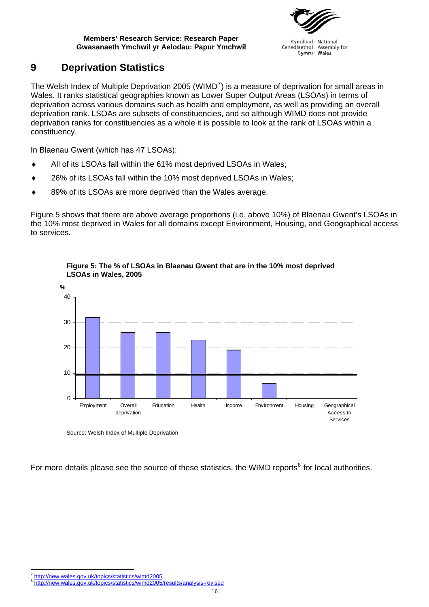

Cynulliad National Cenedlaethol Assembly for Wales Cymru

## <span id="page-23-0"></span>**9 Deprivation Statistics**

The Welsh Index of Multiple Deprivation 2005 (WIMD<sup>[7](#page-23-1)</sup>) is a measure of deprivation for small areas in Wales. It ranks statistical geographies known as Lower Super Output Areas (LSOAs) in terms of deprivation across various domains such as health and employment, as well as providing an overall deprivation rank. LSOAs are subsets of constituencies, and so although WIMD does not provide deprivation ranks for constituencies as a whole it is possible to look at the rank of LSOAs within a constituency.

In Blaenau Gwent (which has 47 LSOAs):

- All of its LSOAs fall within the 61% most deprived LSOAs in Wales;
- 26% of its LSOAs fall within the 10% most deprived LSOAs in Wales;
- 89% of its LSOAs are more deprived than the Wales average.

Figure 5 shows that there are above average proportions (i.e. above 10%) of Blaenau Gwent's LSOAs in the 10% most deprived in Wales for all domains except Environment, Housing, and Geographical access to services.





Source: Welsh Index of Multiple Deprivation

For more details please see the source of these statistics, the WIMD reports<sup>[8](#page-23-2)</sup> for local authorities.

<sup>7</sup> http://new.wales.gov.uk/topics/statistics/wimd2005

<span id="page-23-2"></span><span id="page-23-1"></span><sup>8</sup> <http://new.wales.gov.uk/topics/statistics/wimd2005>/results/analysis-revised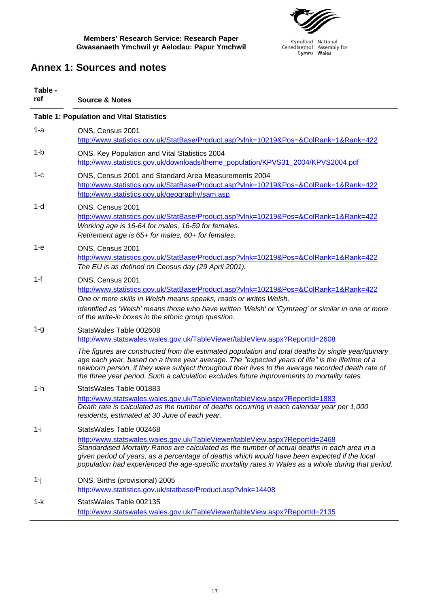

Cynulliad National<br>Cenedlaethol Assembly for<br>Cymru Wales

## <span id="page-24-0"></span>**Annex 1: Sources and notes**

| Table - |                                                                                                                                                                                                                                                                                                                                                                                                         |
|---------|---------------------------------------------------------------------------------------------------------------------------------------------------------------------------------------------------------------------------------------------------------------------------------------------------------------------------------------------------------------------------------------------------------|
| ref     | <b>Source &amp; Notes</b>                                                                                                                                                                                                                                                                                                                                                                               |
|         | <b>Table 1: Population and Vital Statistics</b>                                                                                                                                                                                                                                                                                                                                                         |
| 1-a     | ONS, Census 2001<br>http://www.statistics.gov.uk/StatBase/Product.asp?vlnk=10219&Pos=&ColRank=1&Rank=422                                                                                                                                                                                                                                                                                                |
| $1-b$   | ONS, Key Population and Vital Statistics 2004<br>http://www.statistics.gov.uk/downloads/theme_population/KPVS31_2004/KPVS2004.pdf                                                                                                                                                                                                                                                                       |
| 1-с     | ONS, Census 2001 and Standard Area Measurements 2004<br>http://www.statistics.gov.uk/StatBase/Product.asp?vlnk=10219&Pos=&ColRank=1&Rank=422<br>http://www.statistics.gov.uk/geography/sam.asp                                                                                                                                                                                                          |
| 1-d     | ONS, Census 2001<br>http://www.statistics.gov.uk/StatBase/Product.asp?vlnk=10219&Pos=&ColRank=1&Rank=422<br>Working age is 16-64 for males, 16-59 for females.<br>Retirement age is 65+ for males, 60+ for females.                                                                                                                                                                                     |
| $1-e$   | ONS, Census 2001<br>http://www.statistics.gov.uk/StatBase/Product.asp?vlnk=10219&Pos=&ColRank=1&Rank=422<br>The EU is as defined on Census day (29 April 2001).                                                                                                                                                                                                                                         |
| $1-f$   | ONS, Census 2001<br>http://www.statistics.gov.uk/StatBase/Product.asp?vlnk=10219&Pos=&ColRank=1&Rank=422<br>One or more skills in Welsh means speaks, reads or writes Welsh.<br>Identified as 'Welsh' means those who have written 'Welsh' or 'Cymraeg' or similar in one or more<br>of the write-in boxes in the ethnic group question.                                                                |
| $1 - g$ | StatsWales Table 002608<br>http://www.statswales.wales.gov.uk/TableViewer/tableView.aspx?ReportId=2608                                                                                                                                                                                                                                                                                                  |
|         | The figures are constructed from the estimated population and total deaths by single year/quinary<br>age each year, based on a three year average. The "expected years of life" is the lifetime of a<br>newborn person, if they were subject throughout their lives to the average recorded death rate of<br>the three year period. Such a calculation excludes future improvements to mortality rates. |
| $1-h$   | StatsWales Table 001883<br>http://www.statswales.wales.gov.uk/TableViewer/tableView.aspx?ReportId=1883                                                                                                                                                                                                                                                                                                  |
|         | Death rate is calculated as the number of deaths occurring in each calendar year per 1,000<br>residents, estimated at 30 June of each year.                                                                                                                                                                                                                                                             |
| 1-i     | StatsWales Table 002468                                                                                                                                                                                                                                                                                                                                                                                 |
|         | http://www.statswales.wales.gov.uk/TableViewer/tableView.aspx?ReportId=2468<br>Standardised Mortality Ratios are calculated as the number of actual deaths in each area in a<br>given period of years, as a percentage of deaths which would have been expected if the local<br>population had experienced the age-specific mortality rates in Wales as a whole during that period.                     |
| $1-j$   | ONS, Births (provisional) 2005<br>http://www.statistics.gov.uk/statbase/Product.asp?vlnk=14408                                                                                                                                                                                                                                                                                                          |
| 1-k     | StatsWales Table 002135                                                                                                                                                                                                                                                                                                                                                                                 |
|         | http://www.statswales.wales.gov.uk/TableViewer/tableView.aspx?ReportId=2135                                                                                                                                                                                                                                                                                                                             |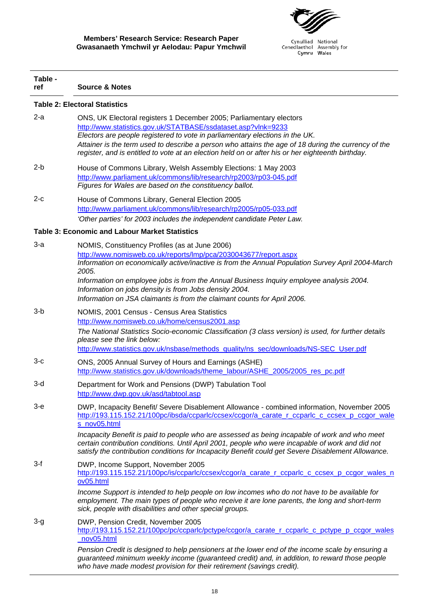

| Table -<br>ref | <b>Source &amp; Notes</b>                                                                                                                                                                                                                                                                                                                                                                                                                                                                                               |  |  |  |  |
|----------------|-------------------------------------------------------------------------------------------------------------------------------------------------------------------------------------------------------------------------------------------------------------------------------------------------------------------------------------------------------------------------------------------------------------------------------------------------------------------------------------------------------------------------|--|--|--|--|
|                | <b>Table 2: Electoral Statistics</b>                                                                                                                                                                                                                                                                                                                                                                                                                                                                                    |  |  |  |  |
| $2-a$          | ONS, UK Electoral registers 1 December 2005; Parliamentary electors<br>http://www.statistics.gov.uk/STATBASE/ssdataset.asp?vlnk=9233<br>Electors are people registered to vote in parliamentary elections in the UK.<br>Attainer is the term used to describe a person who attains the age of 18 during the currency of the<br>register, and is entitled to vote at an election held on or after his or her eighteenth birthday.                                                                                        |  |  |  |  |
| $2-b$          | House of Commons Library, Welsh Assembly Elections: 1 May 2003<br>http://www.parliament.uk/commons/lib/research/rp2003/rp03-045.pdf<br>Figures for Wales are based on the constituency ballot.                                                                                                                                                                                                                                                                                                                          |  |  |  |  |
| $2-c$          | House of Commons Library, General Election 2005<br>http://www.parliament.uk/commons/lib/research/rp2005/rp05-033.pdf<br>'Other parties' for 2003 includes the independent candidate Peter Law.                                                                                                                                                                                                                                                                                                                          |  |  |  |  |
|                | <b>Table 3: Economic and Labour Market Statistics</b>                                                                                                                                                                                                                                                                                                                                                                                                                                                                   |  |  |  |  |
| $3-a$          | NOMIS, Constituency Profiles (as at June 2006)<br>http://www.nomisweb.co.uk/reports/lmp/pca/2030043677/report.aspx<br>Information on economically active/inactive is from the Annual Population Survey April 2004-March<br>2005.<br>Information on employee jobs is from the Annual Business Inquiry employee analysis 2004.<br>Information on jobs density is from Jobs density 2004.<br>Information on JSA claimants is from the claimant counts for April 2006.                                                      |  |  |  |  |
| 3-b            | NOMIS, 2001 Census - Census Area Statistics<br>http://www.nomisweb.co.uk/home/census2001.asp<br>The National Statistics Socio-economic Classification (3 class version) is used, for further details<br>please see the link below:<br>http://www.statistics.gov.uk/nsbase/methods_quality/ns_sec/downloads/NS-SEC_User.pdf                                                                                                                                                                                              |  |  |  |  |
| $3-c$          | ONS, 2005 Annual Survey of Hours and Earnings (ASHE)<br>http://www.statistics.gov.uk/downloads/theme_labour/ASHE_2005/2005_res_pc.pdf                                                                                                                                                                                                                                                                                                                                                                                   |  |  |  |  |
| $3-d$          | Department for Work and Pensions (DWP) Tabulation Tool<br>http://www.dwp.gov.uk/asd/tabtool.asp                                                                                                                                                                                                                                                                                                                                                                                                                         |  |  |  |  |
| 3-е            | DWP, Incapacity Benefit/ Severe Disablement Allowance - combined information, November 2005<br>http://193.115.152.21/100pc/ibsda/ccparlc/ccsex/ccqor/a carate r ccparlc c ccsex p ccqor wale<br>s nov05.html<br>Incapacity Benefit is paid to people who are assessed as being incapable of work and who meet<br>certain contribution conditions. Until April 2001, people who were incapable of work and did not<br>satisfy the contribution conditions for Incapacity Benefit could get Severe Disablement Allowance. |  |  |  |  |
| $3-f$          | DWP, Income Support, November 2005<br>http://193.115.152.21/100pc/is/ccparlc/ccsex/ccgor/a_carate_r_ccparlc_c_ccsex_p_ccgor_wales_n<br>ov05.html<br>Income Support is intended to help people on low incomes who do not have to be available for<br>employment. The main types of people who receive it are lone parents, the long and short-term<br>sick, people with disabilities and other special groups.                                                                                                           |  |  |  |  |
| $3-g$          | DWP, Pension Credit, November 2005<br>http://193.115.152.21/100pc/pc/ccparlc/pctype/ccgor/a_carate_r_ccparlc_c_pctype_p_ccgor_wales<br>nov05.html<br>Pension Credit is designed to help pensioners at the lower end of the income scale by ensuring a<br>guaranteed minimum weekly income (guaranteed credit) and, in addition, to reward those people<br>who have made modest provision for their retirement (savings credit).                                                                                         |  |  |  |  |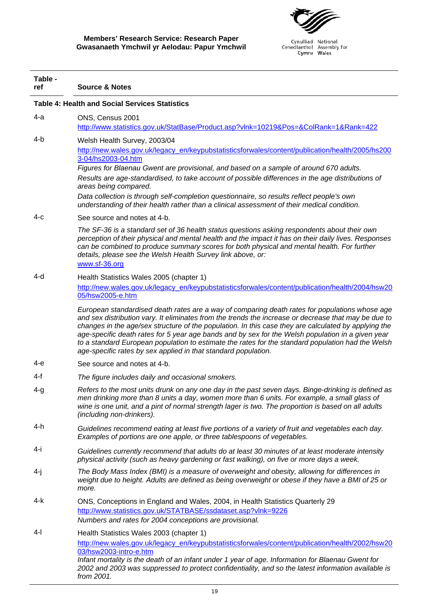

| Table -<br>ref | <b>Source &amp; Notes</b>                                                                                                                                                                                                                                                                                                                                                                                                                                                                                                                                                                  |
|----------------|--------------------------------------------------------------------------------------------------------------------------------------------------------------------------------------------------------------------------------------------------------------------------------------------------------------------------------------------------------------------------------------------------------------------------------------------------------------------------------------------------------------------------------------------------------------------------------------------|
|                | <b>Table 4: Health and Social Services Statistics</b>                                                                                                                                                                                                                                                                                                                                                                                                                                                                                                                                      |
| 4-a            | ONS, Census 2001<br>http://www.statistics.gov.uk/StatBase/Product.asp?vlnk=10219&Pos=&ColRank=1&Rank=422                                                                                                                                                                                                                                                                                                                                                                                                                                                                                   |
| 4-b            | Welsh Health Survey, 2003/04<br>http://new.wales.gov.uk/legacy_en/keypubstatisticsforwales/content/publication/health/2005/hs200<br>3-04/hs2003-04.htm<br>Figures for Blaenau Gwent are provisional, and based on a sample of around 670 adults.                                                                                                                                                                                                                                                                                                                                           |
|                | Results are age-standardised, to take account of possible differences in the age distributions of<br>areas being compared.<br>Data collection is through self-completion questionnaire, so results reflect people's own                                                                                                                                                                                                                                                                                                                                                                    |
| 4-с            | understanding of their health rather than a clinical assessment of their medical condition.<br>See source and notes at 4-b.                                                                                                                                                                                                                                                                                                                                                                                                                                                                |
|                | The SF-36 is a standard set of 36 health status questions asking respondents about their own<br>perception of their physical and mental health and the impact it has on their daily lives. Responses<br>can be combined to produce summary scores for both physical and mental health. For further<br>details, please see the Welsh Health Survey link above, or:<br>www.sf-36.org                                                                                                                                                                                                         |
| 4-d            | Health Statistics Wales 2005 (chapter 1)                                                                                                                                                                                                                                                                                                                                                                                                                                                                                                                                                   |
|                | http://new.wales.gov.uk/legacy_en/keypubstatisticsforwales/content/publication/health/2004/hsw20<br>05/hsw2005-e.htm                                                                                                                                                                                                                                                                                                                                                                                                                                                                       |
|                | European standardised death rates are a way of comparing death rates for populations whose age<br>and sex distribution vary. It eliminates from the trends the increase or decrease that may be due to<br>changes in the age/sex structure of the population. In this case they are calculated by applying the<br>age-specific death rates for 5 year age bands and by sex for the Welsh population in a given year<br>to a standard European population to estimate the rates for the standard population had the Welsh<br>age-specific rates by sex applied in that standard population. |
| 4-е            | See source and notes at 4-b.                                                                                                                                                                                                                                                                                                                                                                                                                                                                                                                                                               |
| 4-f            | The figure includes daily and occasional smokers.                                                                                                                                                                                                                                                                                                                                                                                                                                                                                                                                          |
| $4 - g$        | Refers to the most units drunk on any one day in the past seven days. Binge-drinking is defined as<br>men drinking more than 8 units a day, women more than 6 units. For example, a small glass of<br>wine is one unit, and a pint of normal strength lager is two. The proportion is based on all adults<br>(including non-drinkers).                                                                                                                                                                                                                                                     |
| 4-h            | Guidelines recommend eating at least five portions of a variety of fruit and vegetables each day.<br>Examples of portions are one apple, or three tablespoons of vegetables.                                                                                                                                                                                                                                                                                                                                                                                                               |
| 4-i            | Guidelines currently recommend that adults do at least 30 minutes of at least moderate intensity<br>physical activity (such as heavy gardening or fast walking), on five or more days a week.                                                                                                                                                                                                                                                                                                                                                                                              |
| 4-j            | The Body Mass Index (BMI) is a measure of overweight and obesity, allowing for differences in<br>weight due to height. Adults are defined as being overweight or obese if they have a BMI of 25 or<br>more.                                                                                                                                                                                                                                                                                                                                                                                |
| 4-k            | ONS, Conceptions in England and Wales, 2004, in Health Statistics Quarterly 29<br>http://www.statistics.gov.uk/STATBASE/ssdataset.asp?vlnk=9226<br>Numbers and rates for 2004 conceptions are provisional.                                                                                                                                                                                                                                                                                                                                                                                 |
| 4-l            | Health Statistics Wales 2003 (chapter 1)<br>http://new.wales.gov.uk/legacy_en/keypubstatisticsforwales/content/publication/health/2002/hsw20<br>03/hsw2003-intro-e.htm<br>Infant mortality is the death of an infant under 1 year of age. Information for Blaenau Gwent for<br>2002 and 2003 was suppressed to protect confidentiality, and so the latest information available is<br>from 2001.                                                                                                                                                                                           |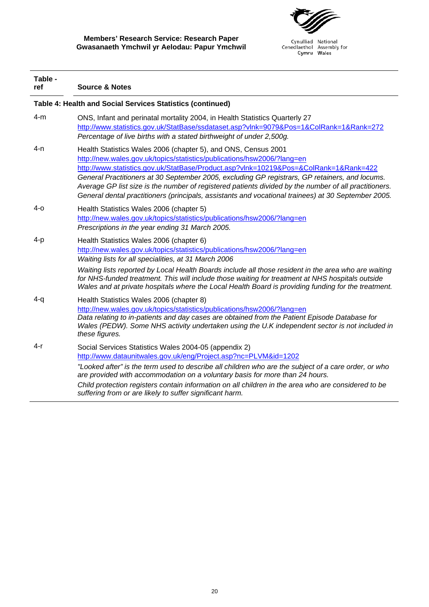

| Table -<br>ref                                             | <b>Source &amp; Notes</b>                                                                                                                                                                                                                                                                                                                                                                                                                                                                                                                           |  |
|------------------------------------------------------------|-----------------------------------------------------------------------------------------------------------------------------------------------------------------------------------------------------------------------------------------------------------------------------------------------------------------------------------------------------------------------------------------------------------------------------------------------------------------------------------------------------------------------------------------------------|--|
| Table 4: Health and Social Services Statistics (continued) |                                                                                                                                                                                                                                                                                                                                                                                                                                                                                                                                                     |  |
| $4-m$                                                      | ONS, Infant and perinatal mortality 2004, in Health Statistics Quarterly 27<br>http://www.statistics.gov.uk/StatBase/ssdataset.asp?vlnk=9079&Pos=1&ColRank=1&Rank=272<br>Percentage of live births with a stated birthweight of under 2,500g.                                                                                                                                                                                                                                                                                                       |  |
| 4-n                                                        | Health Statistics Wales 2006 (chapter 5), and ONS, Census 2001<br>http://new.wales.gov.uk/topics/statistics/publications/hsw2006/?lang=en<br>http://www.statistics.gov.uk/StatBase/Product.asp?vlnk=10219&Pos=&ColRank=1&Rank=422<br>General Practitioners at 30 September 2005, excluding GP registrars, GP retainers, and locums.<br>Average GP list size is the number of registered patients divided by the number of all practitioners.<br>General dental practitioners (principals, assistants and vocational trainees) at 30 September 2005. |  |
| 4-o                                                        | Health Statistics Wales 2006 (chapter 5)<br>http://new.wales.gov.uk/topics/statistics/publications/hsw2006/?lang=en<br>Prescriptions in the year ending 31 March 2005.                                                                                                                                                                                                                                                                                                                                                                              |  |
| 4-p                                                        | Health Statistics Wales 2006 (chapter 6)<br>http://new.wales.gov.uk/topics/statistics/publications/hsw2006/?lang=en<br>Waiting lists for all specialities, at 31 March 2006<br>Waiting lists reported by Local Health Boards include all those resident in the area who are waiting<br>for NHS-funded treatment. This will include those waiting for treatment at NHS hospitals outside<br>Wales and at private hospitals where the Local Health Board is providing funding for the treatment.                                                      |  |
| $4 - q$                                                    | Health Statistics Wales 2006 (chapter 8)<br>http://new.wales.gov.uk/topics/statistics/publications/hsw2006/?lang=en<br>Data relating to in-patients and day cases are obtained from the Patient Episode Database for<br>Wales (PEDW). Some NHS activity undertaken using the U.K independent sector is not included in<br>these figures.                                                                                                                                                                                                            |  |
| 4-r                                                        | Social Services Statistics Wales 2004-05 (appendix 2)<br>http://www.dataunitwales.gov.uk/eng/Project.asp?nc=PLVM&id=1202<br>"Looked after" is the term used to describe all children who are the subject of a care order, or who<br>are provided with accommodation on a voluntary basis for more than 24 hours.<br>Child protection registers contain information on all children in the area who are considered to be<br>suffering from or are likely to suffer significant harm.                                                                 |  |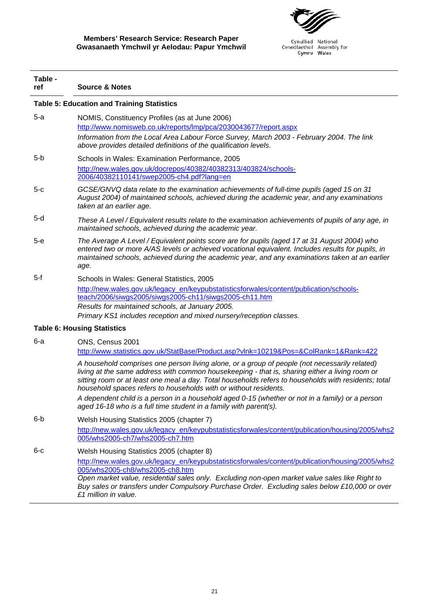

| Table -<br>ref | <b>Source &amp; Notes</b>                                                                                                                                                                                                                                                                                                                                                                                                                                                                                                                                                                  |
|----------------|--------------------------------------------------------------------------------------------------------------------------------------------------------------------------------------------------------------------------------------------------------------------------------------------------------------------------------------------------------------------------------------------------------------------------------------------------------------------------------------------------------------------------------------------------------------------------------------------|
|                | <b>Table 5: Education and Training Statistics</b>                                                                                                                                                                                                                                                                                                                                                                                                                                                                                                                                          |
| $5-a$          | NOMIS, Constituency Profiles (as at June 2006)<br>http://www.nomisweb.co.uk/reports/lmp/pca/2030043677/report.aspx<br>Information from the Local Area Labour Force Survey, March 2003 - February 2004. The link<br>above provides detailed definitions of the qualification levels.                                                                                                                                                                                                                                                                                                        |
| 5-b            | Schools in Wales: Examination Performance, 2005<br>http://new.wales.gov.uk/docrepos/40382/40382313/403824/schools-<br>2006/40382110141/swep2005-ch4.pdf?lang=en                                                                                                                                                                                                                                                                                                                                                                                                                            |
| $5-c$          | GCSE/GNVQ data relate to the examination achievements of full-time pupils (aged 15 on 31<br>August 2004) of maintained schools, achieved during the academic year, and any examinations<br>taken at an earlier age.                                                                                                                                                                                                                                                                                                                                                                        |
| 5-d            | These A Level / Equivalent results relate to the examination achievements of pupils of any age, in<br>maintained schools, achieved during the academic year.                                                                                                                                                                                                                                                                                                                                                                                                                               |
| 5-е            | The Average A Level / Equivalent points score are for pupils (aged 17 at 31 August 2004) who<br>entered two or more A/AS levels or achieved vocational equivalent. Includes results for pupils, in<br>maintained schools, achieved during the academic year, and any examinations taken at an earlier<br>age.                                                                                                                                                                                                                                                                              |
| 5-f            | Schools in Wales: General Statistics, 2005<br>http://new.wales.gov.uk/legacy_en/keypubstatisticsforwales/content/publication/schools-<br>teach/2006/siwgs2005/siwgs2005-ch11/siwgs2005-ch11.htm<br>Results for maintained schools, at January 2005.<br>Primary KS1 includes reception and mixed nursery/reception classes.                                                                                                                                                                                                                                                                 |
|                | <b>Table 6: Housing Statistics</b>                                                                                                                                                                                                                                                                                                                                                                                                                                                                                                                                                         |
| 6-а            | ONS, Census 2001<br>http://www.statistics.gov.uk/StatBase/Product.asp?vlnk=10219&Pos=&ColRank=1&Rank=422<br>A household comprises one person living alone, or a group of people (not necessarily related)<br>living at the same address with common housekeeping - that is, sharing either a living room or<br>sitting room or at least one meal a day. Total households refers to households with residents; total<br>household spaces refers to households with or without residents.<br>A dependent child is a person in a household aged 0-15 (whether or not in a family) or a person |
| 6-b            | aged 16-18 who is a full time student in a family with parent(s).<br>Welsh Housing Statistics 2005 (chapter 7)<br>http://new.wales.gov.uk/legacy_en/keypubstatisticsforwales/content/publication/housing/2005/whs2<br>005/whs2005-ch7/whs2005-ch7.htm                                                                                                                                                                                                                                                                                                                                      |
| $6-c$          | Welsh Housing Statistics 2005 (chapter 8)<br>http://new.wales.gov.uk/legacy_en/keypubstatisticsforwales/content/publication/housing/2005/whs2<br>005/whs2005-ch8/whs2005-ch8.htm<br>Open market value, residential sales only. Excluding non-open market value sales like Right to                                                                                                                                                                                                                                                                                                         |

*Buy sales or transfers under Compulsory Purchase Order. Excluding sales below £10,000 or over £1 million in value.*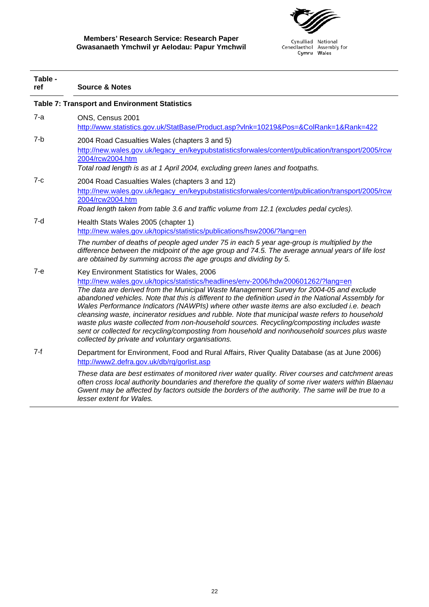

|                                                      | Table -<br>ref | <b>Source &amp; Notes</b>                                                                                                                                                                                                                                                                                                                                                                                                                                                                                                                                                                                                                                                                                                                                                               |
|------------------------------------------------------|----------------|-----------------------------------------------------------------------------------------------------------------------------------------------------------------------------------------------------------------------------------------------------------------------------------------------------------------------------------------------------------------------------------------------------------------------------------------------------------------------------------------------------------------------------------------------------------------------------------------------------------------------------------------------------------------------------------------------------------------------------------------------------------------------------------------|
| <b>Table 7: Transport and Environment Statistics</b> |                |                                                                                                                                                                                                                                                                                                                                                                                                                                                                                                                                                                                                                                                                                                                                                                                         |
|                                                      | 7-a            | ONS, Census 2001<br>http://www.statistics.gov.uk/StatBase/Product.asp?vlnk=10219&Pos=&ColRank=1&Rank=422                                                                                                                                                                                                                                                                                                                                                                                                                                                                                                                                                                                                                                                                                |
|                                                      | 7-b            | 2004 Road Casualties Wales (chapters 3 and 5)<br>http://new.wales.gov.uk/legacy_en/keypubstatisticsforwales/content/publication/transport/2005/rcw<br>2004/rcw2004.htm<br>Total road length is as at 1 April 2004, excluding green lanes and footpaths.                                                                                                                                                                                                                                                                                                                                                                                                                                                                                                                                 |
|                                                      | $7-c$          | 2004 Road Casualties Wales (chapters 3 and 12)<br>http://new.wales.gov.uk/legacy_en/keypubstatisticsforwales/content/publication/transport/2005/rcw<br>2004/rcw2004.htm<br>Road length taken from table 3.6 and traffic volume from 12.1 (excludes pedal cycles).                                                                                                                                                                                                                                                                                                                                                                                                                                                                                                                       |
|                                                      | 7-d            | Health Stats Wales 2005 (chapter 1)<br>http://new.wales.gov.uk/topics/statistics/publications/hsw2006/?lang=en<br>The number of deaths of people aged under 75 in each 5 year age-group is multiplied by the<br>difference between the midpoint of the age group and 74.5. The average annual years of life lost<br>are obtained by summing across the age groups and dividing by 5.                                                                                                                                                                                                                                                                                                                                                                                                    |
|                                                      | $7 - e$        | Key Environment Statistics for Wales, 2006<br>http://new.wales.gov.uk/topics/statistics/headlines/env-2006/hdw200601262/?lang=en<br>The data are derived from the Municipal Waste Management Survey for 2004-05 and exclude<br>abandoned vehicles. Note that this is different to the definition used in the National Assembly for<br>Wales Performance Indicators (NAWPIs) where other waste items are also excluded i.e. beach<br>cleansing waste, incinerator residues and rubble. Note that municipal waste refers to household<br>waste plus waste collected from non-household sources. Recycling/composting includes waste<br>sent or collected for recycling/composting from household and nonhousehold sources plus waste<br>collected by private and voluntary organisations. |
|                                                      | $7-f$          | Department for Environment, Food and Rural Affairs, River Quality Database (as at June 2006)<br>http://www2.defra.gov.uk/db/rg/gorlist.asp<br>These data are best estimates of monitored river water quality. River courses and catchment areas<br>often cross local authority boundaries and therefore the quality of some river waters within Blaenau<br>Gwent may be affected by factors outside the borders of the authority. The same will be true to a<br>lesser extent for Wales.                                                                                                                                                                                                                                                                                                |